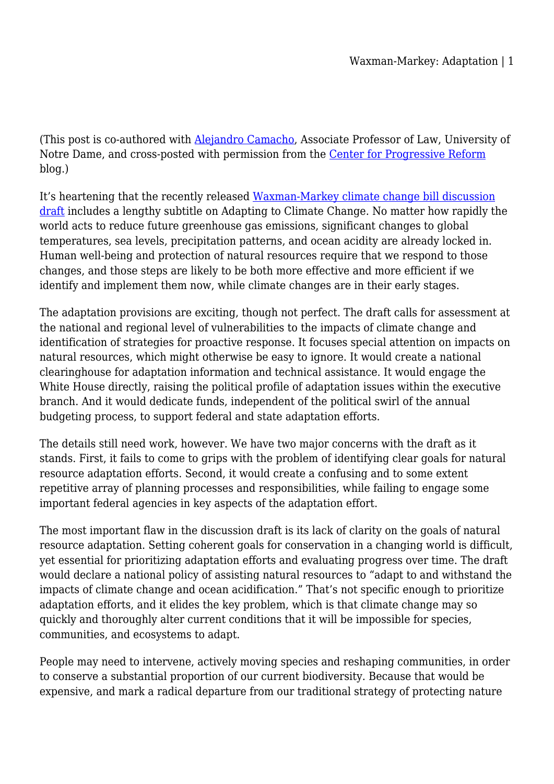(This post is co-authored with [Alejandro Camacho](http://law.nd.edu/people/faculty-and-administration/teaching-and-research-faculty/alejandro-camacho), Associate Professor of Law, University of Notre Dame, and cross-posted with permission from the [Center for Progressive Reform](http://progressivereform.org/CPRblog.cfm) blog.)

It's heartening that the recently released [Waxman-Markey climate change bill discussion](http://energycommerce.house.gov/Press_111/20090331/acesa_discussiondraft.pdf) [draft](http://energycommerce.house.gov/Press_111/20090331/acesa_discussiondraft.pdf) includes a lengthy subtitle on Adapting to Climate Change. No matter how rapidly the world acts to reduce future greenhouse gas emissions, significant changes to global temperatures, sea levels, precipitation patterns, and ocean acidity are already locked in. Human well-being and protection of natural resources require that we respond to those changes, and those steps are likely to be both more effective and more efficient if we identify and implement them now, while climate changes are in their early stages.

The adaptation provisions are exciting, though not perfect. The draft calls for assessment at the national and regional level of vulnerabilities to the impacts of climate change and identification of strategies for proactive response. It focuses special attention on impacts on natural resources, which might otherwise be easy to ignore. It would create a national clearinghouse for adaptation information and technical assistance. It would engage the White House directly, raising the political profile of adaptation issues within the executive branch. And it would dedicate funds, independent of the political swirl of the annual budgeting process, to support federal and state adaptation efforts.

The details still need work, however. We have two major concerns with the draft as it stands. First, it fails to come to grips with the problem of identifying clear goals for natural resource adaptation efforts. Second, it would create a confusing and to some extent repetitive array of planning processes and responsibilities, while failing to engage some important federal agencies in key aspects of the adaptation effort.

The most important flaw in the discussion draft is its lack of clarity on the goals of natural resource adaptation. Setting coherent goals for conservation in a changing world is difficult, yet essential for prioritizing adaptation efforts and evaluating progress over time. The draft would declare a national policy of assisting natural resources to "adapt to and withstand the impacts of climate change and ocean acidification." That's not specific enough to prioritize adaptation efforts, and it elides the key problem, which is that climate change may so quickly and thoroughly alter current conditions that it will be impossible for species, communities, and ecosystems to adapt.

People may need to intervene, actively moving species and reshaping communities, in order to conserve a substantial proportion of our current biodiversity. Because that would be expensive, and mark a radical departure from our traditional strategy of protecting nature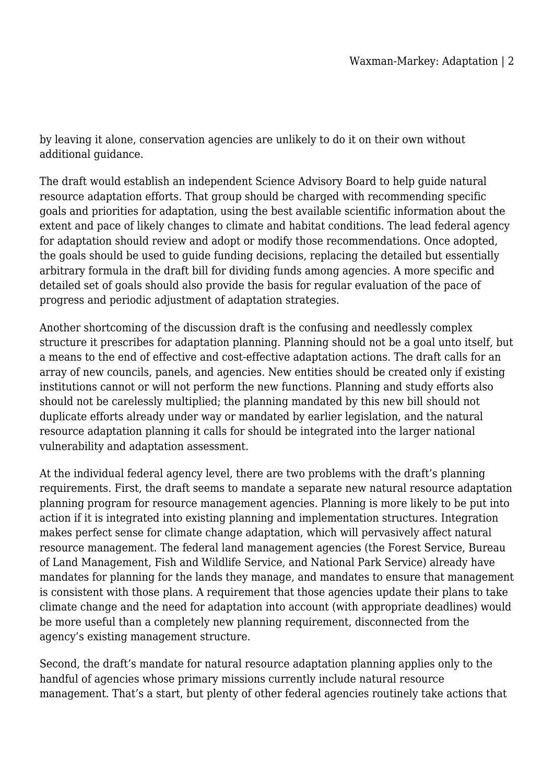by leaving it alone, conservation agencies are unlikely to do it on their own without additional guidance.

The draft would establish an independent Science Advisory Board to help guide natural resource adaptation efforts. That group should be charged with recommending specific goals and priorities for adaptation, using the best available scientific information about the extent and pace of likely changes to climate and habitat conditions. The lead federal agency for adaptation should review and adopt or modify those recommendations. Once adopted, the goals should be used to guide funding decisions, replacing the detailed but essentially arbitrary formula in the draft bill for dividing funds among agencies. A more specific and detailed set of goals should also provide the basis for regular evaluation of the pace of progress and periodic adjustment of adaptation strategies.

Another shortcoming of the discussion draft is the confusing and needlessly complex structure it prescribes for adaptation planning. Planning should not be a goal unto itself, but a means to the end of effective and cost-effective adaptation actions. The draft calls for an array of new councils, panels, and agencies. New entities should be created only if existing institutions cannot or will not perform the new functions. Planning and study efforts also should not be carelessly multiplied; the planning mandated by this new bill should not duplicate efforts already under way or mandated by earlier legislation, and the natural resource adaptation planning it calls for should be integrated into the larger national vulnerability and adaptation assessment.

At the individual federal agency level, there are two problems with the draft's planning requirements. First, the draft seems to mandate a separate new natural resource adaptation planning program for resource management agencies. Planning is more likely to be put into action if it is integrated into existing planning and implementation structures. Integration makes perfect sense for climate change adaptation, which will pervasively affect natural resource management. The federal land management agencies (the Forest Service, Bureau of Land Management, Fish and Wildlife Service, and National Park Service) already have mandates for planning for the lands they manage, and mandates to ensure that management is consistent with those plans. A requirement that those agencies update their plans to take climate change and the need for adaptation into account (with appropriate deadlines) would be more useful than a completely new planning requirement, disconnected from the agency's existing management structure.

Second, the draft's mandate for natural resource adaptation planning applies only to the handful of agencies whose primary missions currently include natural resource management. That's a start, but plenty of other federal agencies routinely take actions that